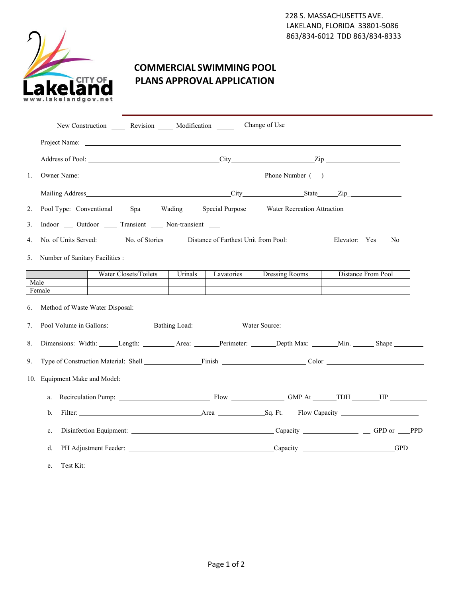

## **COMMERCIAL SWIMMING POOL PLANS APPROVAL APPLICATION**

|                               | New Construction _______ Revision _______ Modification ______                                                                                                                                                                  |                       | Change of Use $\_\_$ |                    |  |  |  |  |  |  |
|-------------------------------|--------------------------------------------------------------------------------------------------------------------------------------------------------------------------------------------------------------------------------|-----------------------|----------------------|--------------------|--|--|--|--|--|--|
|                               |                                                                                                                                                                                                                                |                       |                      |                    |  |  |  |  |  |  |
|                               |                                                                                                                                                                                                                                |                       |                      |                    |  |  |  |  |  |  |
| 1.                            |                                                                                                                                                                                                                                |                       |                      |                    |  |  |  |  |  |  |
|                               |                                                                                                                                                                                                                                |                       |                      |                    |  |  |  |  |  |  |
| 2.                            | Pool Type: Conventional __ Spa __ Wading __ Special Purpose __ Water Recreation Attraction __                                                                                                                                  |                       |                      |                    |  |  |  |  |  |  |
| 3.                            | Indoor ____ Outdoor ______ Transient _____ Non-transient _____                                                                                                                                                                 |                       |                      |                    |  |  |  |  |  |  |
| 4.                            | No. of Units Served: No. of Stories ______ Distance of Farthest Unit from Pool: ____________ Elevator: Yes ___ No___                                                                                                           |                       |                      |                    |  |  |  |  |  |  |
| 5.                            | Number of Sanitary Facilities :                                                                                                                                                                                                |                       |                      |                    |  |  |  |  |  |  |
|                               | Water Closets/Toilets                                                                                                                                                                                                          | Urinals<br>Lavatories | Dressing Rooms       | Distance From Pool |  |  |  |  |  |  |
|                               | Male<br>Female                                                                                                                                                                                                                 |                       |                      |                    |  |  |  |  |  |  |
| 6.<br>7.                      | Method of Waste Water Disposal: New York 2014 19:00 19:00 19:00 19:00 19:00 19:00 19:00 19:00 19:00 19:00 19:00 19:00 19:00 19:00 19:00 19:00 19:00 19:00 19:00 19:00 19:00 19:00 19:00 19:00 19:00 19:00 19:00 19:00 19:00 19 |                       |                      |                    |  |  |  |  |  |  |
| 8.                            | Dimensions: Width: Length: Length: Area: Perimeter: Depth Max: Min. Min. Shape                                                                                                                                                 |                       |                      |                    |  |  |  |  |  |  |
| 9.                            | Type of Construction Material: Shell Finish Finish Color Color Construction Material: Shell Finish Color Color                                                                                                                 |                       |                      |                    |  |  |  |  |  |  |
| 10. Equipment Make and Model: |                                                                                                                                                                                                                                |                       |                      |                    |  |  |  |  |  |  |
|                               | Recirculation Pump: Flow GMP At TDH HP<br>a.                                                                                                                                                                                   |                       |                      |                    |  |  |  |  |  |  |
|                               | b.                                                                                                                                                                                                                             |                       |                      |                    |  |  |  |  |  |  |
|                               | c.                                                                                                                                                                                                                             |                       |                      |                    |  |  |  |  |  |  |
|                               | d.                                                                                                                                                                                                                             |                       |                      | <b>GPD</b>         |  |  |  |  |  |  |
|                               | Test Kit:<br>e.                                                                                                                                                                                                                |                       |                      |                    |  |  |  |  |  |  |